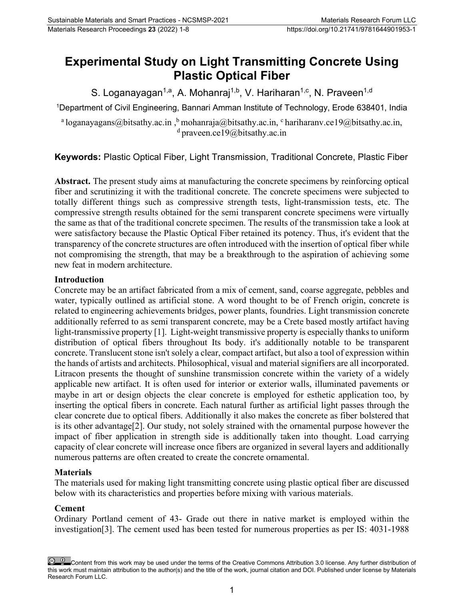# **Experimental Study on Light Transmitting Concrete Using Plastic Optical Fiber**

S. Loganayagan<sup>1,a</sup>, A. Mohanraj<sup>1,b</sup>, V. Hariharan<sup>1,c</sup>, N. Praveen<sup>1,d</sup>

1 Department of Civil Engineering, Bannari Amman Institute of Technology, Erode 638401, India

<sup>a</sup> loganayagans@bitsathy.ac.in , <sup>b</sup> mohanraj[a@bitsathy.ac.in,](mailto:chandramohann@bitsathy.ac.in) c [hariharanv.ce19@bitsathy.ac.in,](about:blank)  $d$  praveen.ce19@bitsathy.ac.in

**Keywords:** Plastic Optical Fiber, Light Transmission, Traditional Concrete, Plastic Fiber

**Abstract.** The present study aims at manufacturing the concrete specimens by reinforcing optical fiber and scrutinizing it with the traditional concrete. The concrete specimens were subjected to totally different things such as compressive strength tests, light‐transmission tests, etc. The compressive strength results obtained for the semi transparent concrete specimens were virtually the same as that of the traditional concrete specimen. The results of the transmission take a look at were satisfactory because the Plastic Optical Fiber retained its potency. Thus, it's evident that the transparency of the concrete structures are often introduced with the insertion of optical fiber while not compromising the strength, that may be a breakthrough to the aspiration of achieving some new feat in modern architecture.

## **Introduction**

Concrete may be an artifact fabricated from a mix of cement, sand, coarse aggregate, pebbles and water, typically outlined as artificial stone. A word thought to be of French origin, concrete is related to engineering achievements bridges, power plants, foundries. Light transmission concrete additionally referred to as semi transparent concrete, may be a Crete based mostly artifact having light-transmissive property [1]. Light-weight transmissive property is especially thanks to uniform distribution of optical fibers throughout Its body. it's additionally notable to be transparent concrete. Translucent stone isn't solely a clear, compact artifact, but also a tool of expression within the hands of artists and architects. Philosophical, visual and material signifiers are all incorporated. Litracon presents the thought of sunshine transmission concrete within the variety of a widely applicable new artifact. It is often used for interior or exterior walls, illuminated pavements or maybe in art or design objects the clear concrete is employed for esthetic application too, by inserting the optical fibers in concrete. Each natural further as artificial light passes through the clear concrete due to optical fibers. Additionally it also makes the concrete as fiber bolstered that is its other advantage[2]. Our study, not solely strained with the ornamental purpose however the impact of fiber application in strength side is additionally taken into thought. Load carrying capacity of clear concrete will increase once fibers are organized in several layers and additionally numerous patterns are often created to create the concrete ornamental.

# **Materials**

The materials used for making light transmitting concrete using plastic optical fiber are discussed below with its characteristics and properties before mixing with various materials.

# **Cement**

Ordinary Portland cement of 43- Grade out there in native market is employed within the investigation[3]. The cement used has been tested for numerous properties as per IS: 4031-1988

Content from this work may be used under the terms of the Creative Commons Attribution 3.0 license. Any further distribution of this work must maintain attribution to the author(s) and the title of the work, journal citation and DOI. Published under license by Materials Research Forum LLC.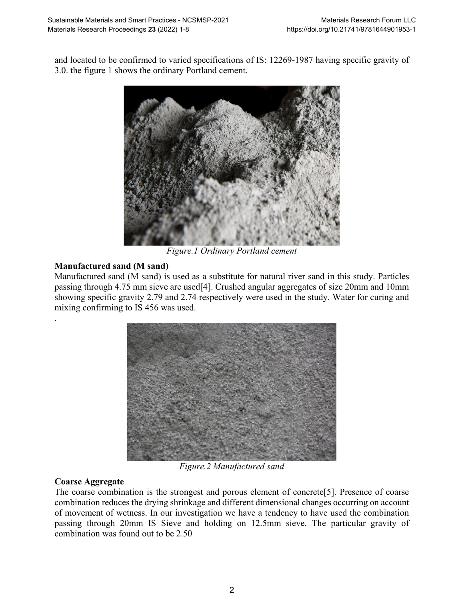and located to be confirmed to varied specifications of IS: 12269‐1987 having specific gravity of 3.0. the figure 1 shows the ordinary Portland cement.



*Figure.1 Ordinary Portland cement*

# **Manufactured sand (M sand)**

.

Manufactured sand (M sand) is used as a substitute for natural river sand in this study. Particles passing through 4.75 mm sieve are used[4]. Crushed angular aggregates of size 20mm and 10mm showing specific gravity 2.79 and 2.74 respectively were used in the study. Water for curing and mixing confirming to IS 456 was used.



*Figure.2 Manufactured sand*

# **Coarse Aggregate**

The coarse combination is the strongest and porous element of concrete[5]. Presence of coarse combination reduces the drying shrinkage and different dimensional changes occurring on account of movement of wetness. In our investigation we have a tendency to have used the combination passing through 20mm IS Sieve and holding on 12.5mm sieve. The particular gravity of combination was found out to be 2.50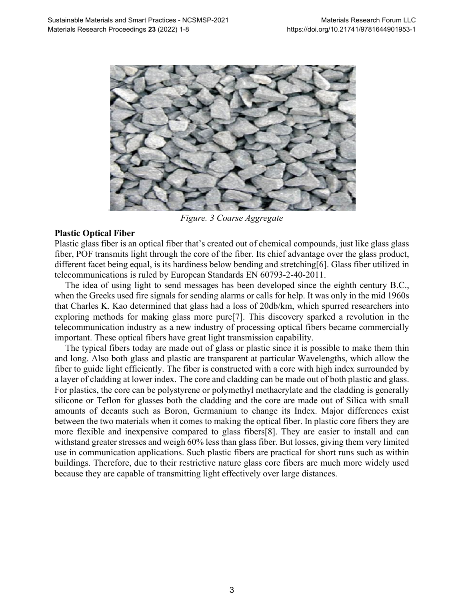

*Figure. 3 Coarse Aggregate*

## **Plastic Optical Fiber**

Plastic glass fiber is an optical fiber that's created out of chemical compounds, just like glass glass fiber, POF transmits light through the core of the fiber. Its chief advantage over the glass product, different facet being equal, is its hardiness below bending and stretching[6]. Glass fiber utilized in telecommunications is ruled by European Standards EN 60793‐2‐40‐2011.

The idea of using light to send messages has been developed since the eighth century B.C., when the Greeks used fire signals for sending alarms or calls for help. It was only in the mid 1960s that Charles K. Kao determined that glass had a loss of 20db/km, which spurred researchers into exploring methods for making glass more pure[7]. This discovery sparked a revolution in the telecommunication industry as a new industry of processing optical fibers became commercially important. These optical fibers have great light transmission capability.

The typical fibers today are made out of glass or plastic since it is possible to make them thin and long. Also both glass and plastic are transparent at particular Wavelengths, which allow the fiber to guide light efficiently. The fiber is constructed with a core with high index surrounded by a layer of cladding at lower index. The core and cladding can be made out of both plastic and glass. For plastics, the core can be polystyrene or polymethyl methacrylate and the cladding is generally silicone or Teflon for glasses both the cladding and the core are made out of Silica with small amounts of decants such as Boron, Germanium to change its Index. Major differences exist between the two materials when it comes to making the optical fiber. In plastic core fibers they are more flexible and inexpensive compared to glass fibers[8]. They are easier to install and can withstand greater stresses and weigh 60% less than glass fiber. But losses, giving them very limited use in communication applications. Such plastic fibers are practical for short runs such as within buildings. Therefore, due to their restrictive nature glass core fibers are much more widely used because they are capable of transmitting light effectively over large distances.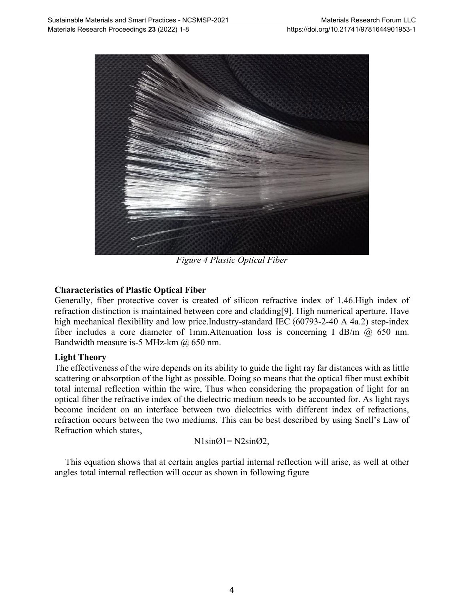

*Figure 4 Plastic Optical Fiber*

## **Characteristics of Plastic Optical Fiber**

Generally, fiber protective cover is created of silicon refractive index of 1.46.High index of refraction distinction is maintained between core and cladding[9]. High numerical aperture. Have high mechanical flexibility and low price.Industry-standard IEC  $(60793-2-40 \text{ A } 4a.2)$  step-index fiber includes a core diameter of 1mm.Attenuation loss is concerning I dB/m @ 650 nm. Bandwidth measure is-5 MHz-km @ 650 nm.

## **Light Theory**

The effectiveness of the wire depends on its ability to guide the light ray far distances with as little scattering or absorption of the light as possible. Doing so means that the optical fiber must exhibit total internal reflection within the wire, Thus when considering the propagation of light for an optical fiber the refractive index of the dielectric medium needs to be accounted for. As light rays become incident on an interface between two dielectrics with different index of refractions, refraction occurs between the two mediums. This can be best described by using Snell's Law of Refraction which states,

$$
N1\sin\theta = N2\sin\theta
$$

This equation shows that at certain angles partial internal reflection will arise, as well at other angles total internal reflection will occur as shown in following figure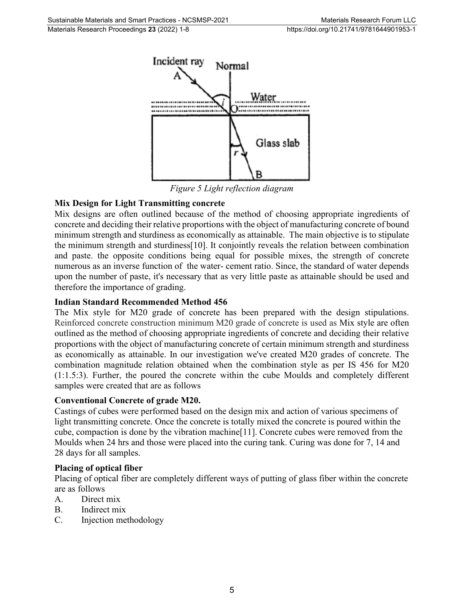

*Figure 5 Light reflection diagram*

# **Mix Design for Light Transmitting concrete**

Mix designs are often outlined because of the method of choosing appropriate ingredients of concrete and deciding their relative proportions with the object of manufacturing concrete of bound minimum strength and sturdiness as economically as attainable. The main objective is to stipulate the minimum strength and sturdiness[10]. It conjointly reveals the relation between combination and paste. the opposite conditions being equal for possible mixes, the strength of concrete numerous as an inverse function of the water-cement ratio. Since, the standard of water depends upon the number of paste, it's necessary that as very little paste as attainable should be used and therefore the importance of grading.

## **Indian Standard Recommended Method 456**

The Mix style for M20 grade of concrete has been prepared with the design stipulations. Reinforced concrete construction minimum M20 grade of concrete is used as Mix style are often outlined as the method of choosing appropriate ingredients of concrete and deciding their relative proportions with the object of manufacturing concrete of certain minimum strength and sturdiness as economically as attainable. In our investigation we've created M20 grades of concrete. The combination magnitude relation obtained when the combination style as per IS 456 for M20 (1:1.5:3). Further, the poured the concrete within the cube Moulds and completely different samples were created that are as follows

## **Conventional Concrete of grade M20.**

Castings of cubes were performed based on the design mix and action of various specimens of light transmitting concrete. Once the concrete is totally mixed the concrete is poured within the cube, compaction is done by the vibration machine[11]. Concrete cubes were removed from the Moulds when 24 hrs and those were placed into the curing tank. Curing was done for 7, 14 and 28 days for all samples.

## **Placing of optical fiber**

Placing of optical fiber are completely different ways of putting of glass fiber within the concrete are as follows

- A. Direct mix
- B. Indirect mix
- C. Injection methodology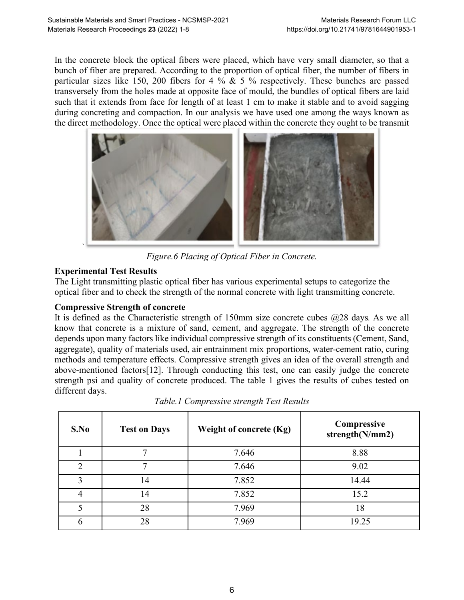In the concrete block the optical fibers were placed, which have very small diameter, so that a bunch of fiber are prepared. According to the proportion of optical fiber, the number of fibers in particular sizes like 150, 200 fibers for 4 %  $\&$  5 % respectively. These bunches are passed transversely from the holes made at opposite face of mould, the bundles of optical fibers are laid such that it extends from face for length of at least 1 cm to make it stable and to avoid sagging during concreting and compaction. In our analysis we have used one among the ways known as the direct methodology. Once the optical were placed within the concrete they ought to be transmit



*Figure.6 Placing of Optical Fiber in Concrete.*

# **Experimental Test Results**

The Light transmitting plastic optical fiber has various experimental setups to categorize the optical fiber and to check the strength of the normal concrete with light transmitting concrete.

# **Compressive Strength of concrete**

It is defined as the Characteristic strength of 150mm size concrete cubes @28 days*.* As we all know that concrete is a mixture of sand, cement, and aggregate. The strength of the concrete depends upon many factors like individual compressive strength of its constituents (Cement, Sand, aggregate), quality of materials used, air entrainment mix proportions, water-cement ratio, curing methods and temperature effects. Compressive strength gives an idea of the overall strength and above-mentioned factors[12]. Through conducting this test, one can easily judge the concrete strength psi and quality of concrete produced. The table 1 gives the results of cubes tested on different days.

| S.No          | <b>Test on Days</b> | Weight of concrete (Kg) | Compressive<br>strength(N/mm2) |
|---------------|---------------------|-------------------------|--------------------------------|
|               |                     | 7.646                   | 8.88                           |
| $\mathcal{D}$ |                     | 7.646                   | 9.02                           |
| 3             | 14                  | 7.852                   | 14.44                          |
| 4             | 14                  | 7.852                   | 15.2                           |
| 5             | 28                  | 7.969                   | 18                             |
| 6             | 28                  | 7.969                   | 19.25                          |

*Table.1 Compressive strength Test Results*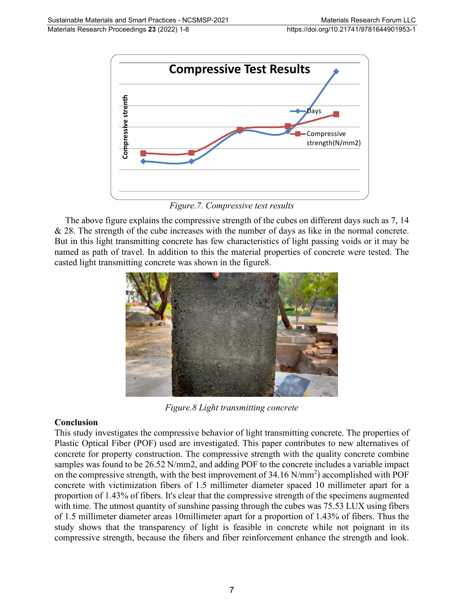

*Figure.7. Compressive test results*

The above figure explains the compressive strength of the cubes on different days such as 7, 14 & 28. The strength of the cube increases with the number of days as like in the normal concrete. But in this light transmitting concrete has few characteristics of light passing voids or it may be named as path of travel. In addition to this the material properties of concrete were tested. The casted light transmitting concrete was shown in the figure8.



*Figure.8 Light transmitting concrete*

# **Conclusion**

This study investigates the compressive behavior of light transmitting concrete. The properties of Plastic Optical Fiber (POF) used are investigated. This paper contributes to new alternatives of concrete for property construction. The compressive strength with the quality concrete combine samples was found to be 26.52 N/mm2, and adding POF to the concrete includes a variable impact on the compressive strength, with the best improvement of 34.16  $N/mm^2$  accomplished with POF concrete with victimization fibers of 1.5 millimeter diameter spaced 10 millimeter apart for a proportion of 1.43% of fibers. It's clear that the compressive strength of the specimens augmented with time. The utmost quantity of sunshine passing through the cubes was 75.53 LUX using fibers of 1.5 millimeter diameter areas 10millimeter apart for a proportion of 1.43% of fibers. Thus the study shows that the transparency of light is feasible in concrete while not poignant in its **Example 19**<br> **Example 1998**<br> **Compressive strength and fiber reflexion and filtered days such as 7, 14<br>
As 28. The strength of the weaker of the strength and fiber results are the fiber results and fiber results and fibe**